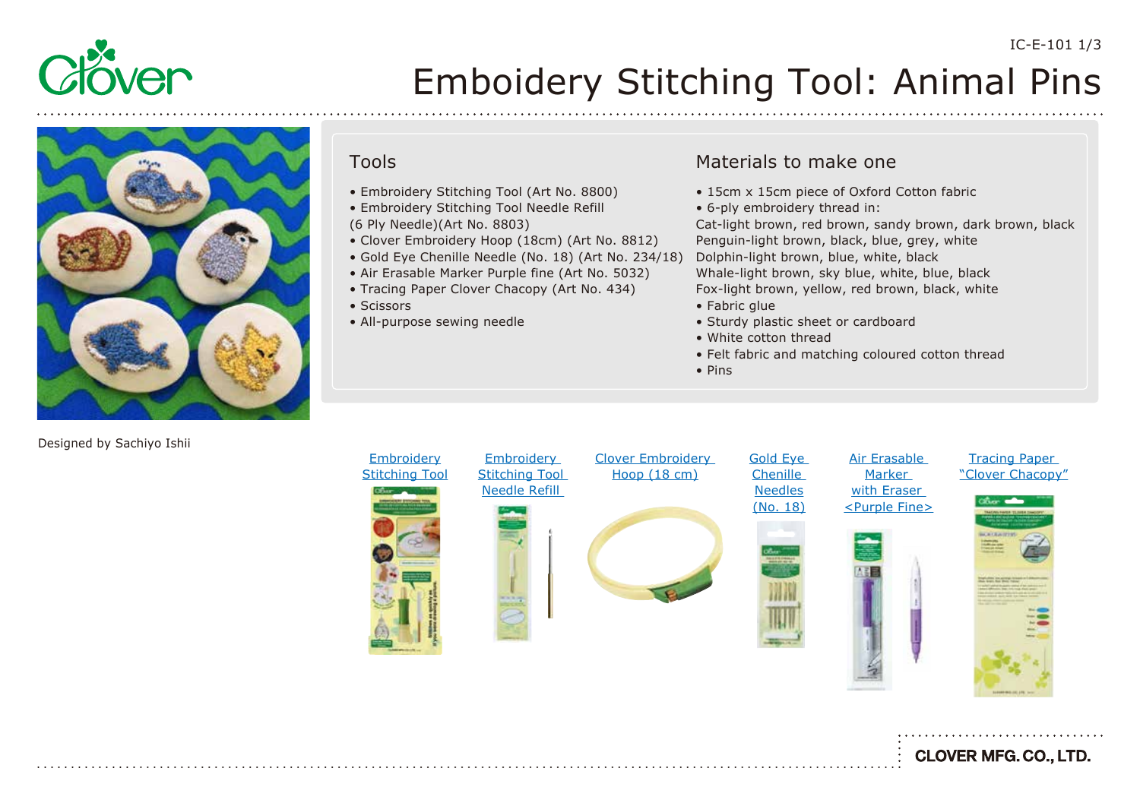

# Emboidery Stitching Tool: Animal Pins



# Tools

- Embroidery Stitching Tool (Art No. 8800)
- Embroidery Stitching Tool Needle Refill (6 Ply Needle)(Art No. 8803)
- Clover Embroidery Hoop (18cm) (Art No. 8812)
- Gold Eye Chenille Needle (No. 18) (Art No. 234/18)
- Air Erasable Marker Purple fine (Art No. 5032)
- Tracing Paper Clover Chacopy (Art No. 434)
- Scissors
- All-purpose sewing needle

### Materials to make one

- 15cm x 15cm piece of Oxford Cotton fabric
- 6-ply embroidery thread in:

Cat-light brown, red brown, sandy brown, dark brown, black Penguin-light brown, black, blue, grey, white Dolphin-light brown, blue, white, black Whale-light brown, sky blue, white, blue, black Fox-light brown, yellow, red brown, black, white

- Fabric glue
- Sturdy plastic sheet or cardboard
- White cotton thread
- Felt fabric and matching coloured cotton thread
- Pins



IC-E-101 1/3

Designed by Sachiyo Ishii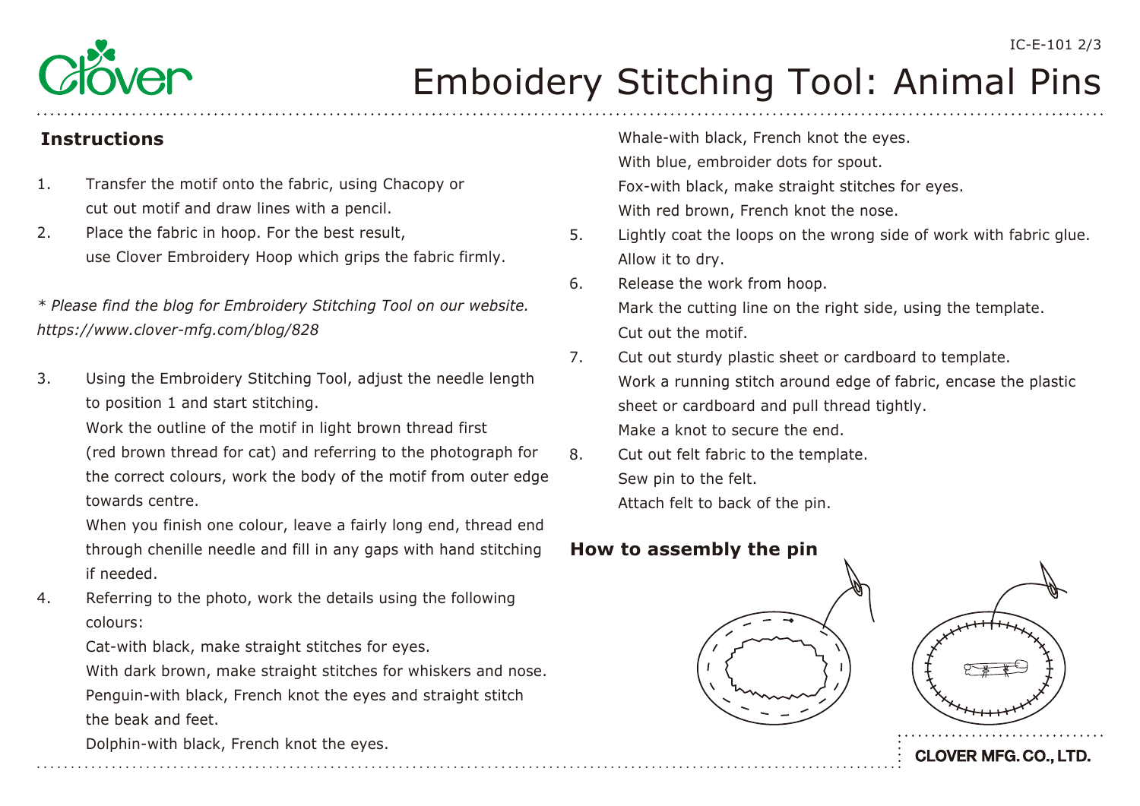

# Emboidery Stitching Tool: Animal Pins

- 1. Transfer the motif onto the fabric, using Chacopy or cut out motif and draw lines with a pencil.
- 2. Place the fabric in hoop. For the best result, use Clover Embroidery Hoop which grips the fabric firmly.

# *\* Please find the blog for Embroidery Stitching Tool on our website. <https://www.clover-mfg.com/blog/828>*

3. Using the Embroidery Stitching Tool, adjust the needle length to position 1 and start stitching.

Work the outline of the motif in light brown thread first

 (red brown thread for cat) and referring to the photograph for the correct colours, work the body of the motif from outer edge towards centre.

 When you finish one colour, leave a fairly long end, thread end through chenille needle and fill in any gaps with hand stitching if needed.

4. Referring to the photo, work the details using the following colours:

Cat-with black, make straight stitches for eyes.

 With dark brown, make straight stitches for whiskers and nose. Penguin-with black, French knot the eyes and straight stitch the beak and feet.

Dolphin-with black, French knot the eyes.

**Instructions Instructions Instructions Instructions**  With blue, embroider dots for spout. Fox-with black, make straight stitches for eyes. With red brown, French knot the nose.

- 5. Lightly coat the loops on the wrong side of work with fabric glue. Allow it to dry.
- 6. Release the work from hoop. Mark the cutting line on the right side, using the template. Cut out the motif.
- 7. Cut out sturdy plastic sheet or cardboard to template. Work a running stitch around edge of fabric, encase the plastic sheet or cardboard and pull thread tightly. Make a knot to secure the end.
- 8. Cut out felt fabric to the template. Sew pin to the felt. Attach felt to back of the pin.

# **How to assembly the pin**





**CLOVER MFG. CO., LTD.**